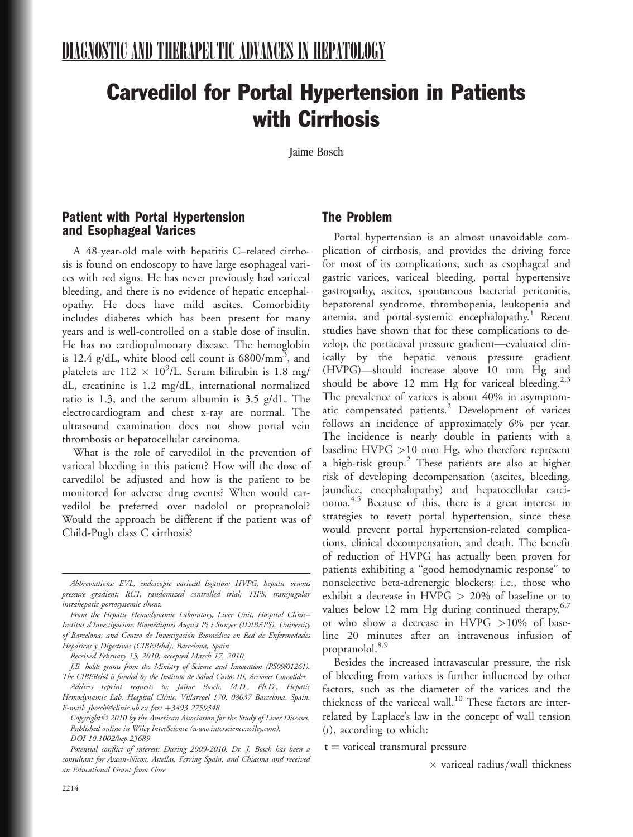# Carvedilol for Portal Hypertension in Patients with Cirrhosis

Jaime Bosch

#### Patient with Portal Hypertension and Esophageal Varices

A 48-year-old male with hepatitis C–related cirrhosis is found on endoscopy to have large esophageal varices with red signs. He has never previously had variceal bleeding, and there is no evidence of hepatic encephalopathy. He does have mild ascites. Comorbidity includes diabetes which has been present for many years and is well-controlled on a stable dose of insulin. He has no cardiopulmonary disease. The hemoglobin is 12.4 g/dL, white blood cell count is  $6800/\text{mm}^3$ , and platelets are  $112 \times 10^9$ /L. Serum bilirubin is 1.8 mg/ dL, creatinine is 1.2 mg/dL, international normalized ratio is 1.3, and the serum albumin is 3.5 g/dL. The electrocardiogram and chest x-ray are normal. The ultrasound examination does not show portal vein thrombosis or hepatocellular carcinoma.

What is the role of carvedilol in the prevention of variceal bleeding in this patient? How will the dose of carvedilol be adjusted and how is the patient to be monitored for adverse drug events? When would carvedilol be preferred over nadolol or propranolol? Would the approach be different if the patient was of Child-Pugh class C cirrhosis?

Received February 15, 2010; accepted March 17, 2010.

## The Problem

Portal hypertension is an almost unavoidable complication of cirrhosis, and provides the driving force for most of its complications, such as esophageal and gastric varices, variceal bleeding, portal hypertensive gastropathy, ascites, spontaneous bacterial peritonitis, hepatorenal syndrome, thrombopenia, leukopenia and anemia, and portal-systemic encephalopathy.<sup>1</sup> Recent studies have shown that for these complications to develop, the portacaval pressure gradient—evaluated clinically by the hepatic venous pressure gradient (HVPG)—should increase above 10 mm Hg and should be above 12 mm Hg for variceal bleeding.<sup>2,3</sup> The prevalence of varices is about 40% in asymptomatic compensated patients.<sup>2</sup> Development of varices follows an incidence of approximately 6% per year. The incidence is nearly double in patients with a baseline HVPG >10 mm Hg, who therefore represent a high-risk group.<sup>2</sup> These patients are also at higher risk of developing decompensation (ascites, bleeding, jaundice, encephalopathy) and hepatocellular carcinoma.<sup>4,5</sup> Because of this, there is a great interest in strategies to revert portal hypertension, since these would prevent portal hypertension-related complications, clinical decompensation, and death. The benefit of reduction of HVPG has actually been proven for patients exhibiting a ''good hemodynamic response'' to nonselective beta-adrenergic blockers; i.e., those who exhibit a decrease in  $HVPG > 20%$  of baseline or to values below 12 mm Hg during continued therapy,  $6\frac{1}{2}$ or who show a decrease in HVPG >10% of baseline 20 minutes after an intravenous infusion of propranolol.<sup>8,9</sup>

Besides the increased intravascular pressure, the risk of bleeding from varices is further influenced by other factors, such as the diameter of the varices and the thickness of the variceal wall.<sup>10</sup> These factors are interrelated by Laplace's law in the concept of wall tension (t), according to which:

 $t =$  variceal transmural pressure

 $\times$  variceal radius/wall thickness

Abbreviations: EVL, endoscopic variceal ligation; HVPG, hepatic venous pressure gradient; RCT, randomized controlled trial; TIPS, transjugular intrahepatic portosystemic shunt.

From the Hepatic Hemodynamic Laboratory, Liver Unit, Hospital Clínic-Institut d'Investigacions Biomèdiques August Pi i Sunyer (IDIBAPS), University of Barcelona, and Centro de Investigación Biomédica en Red de Enfermedades Hepáticas y Digestivas (CIBERehd), Barcelona, Spain

J.B. holds grants from the Ministry of Science and Innovation (PS09/01261). The CIBERehd is funded by the Instituto de Salud Carlos III, Acciones Consolider.

Address reprint requests to: Jaime Bosch, M.D., Ph.D., Hepatic Hemodynamic Lab, Hospital Clínic, Villarroel 170, 08037 Barcelona, Spain. E-mail: jbosch@clinic.ub.es; fax: +3493 2759348.

Copyright  $\odot$  2010 by the American Association for the Study of Liver Diseases. Published online in Wiley InterScience (www.interscience.wiley.com). DOI 10.1002/hep.23689

Potential conflict of interest: During 2009-2010. Dr. J. Bosch has been a consultant for Axcan-Nicox, Astellas, Ferring Spain, and Chiasma and received an Educational Grant from Gore.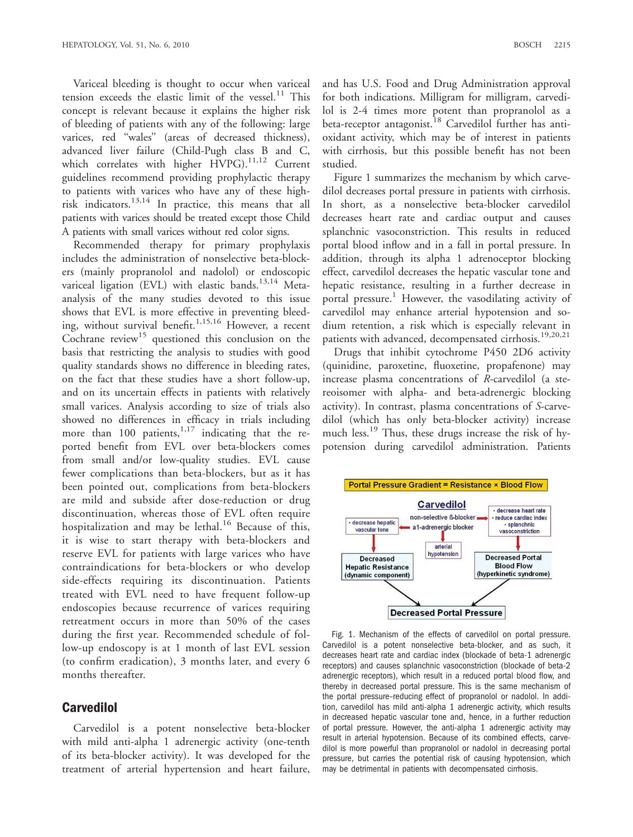Variceal bleeding is thought to occur when variceal tension exceeds the elastic limit of the vessel. $^{11}$  This concept is relevant because it explains the higher risk of bleeding of patients with any of the following: large varices, red ''wales'' (areas of decreased thickness), advanced liver failure (Child-Pugh class B and C, which correlates with higher HVPG).<sup>11,12</sup> Current guidelines recommend providing prophylactic therapy to patients with varices who have any of these highrisk indicators.13,14 In practice, this means that all patients with varices should be treated except those Child A patients with small varices without red color signs.

Recommended therapy for primary prophylaxis includes the administration of nonselective beta-blockers (mainly propranolol and nadolol) or endoscopic variceal ligation (EVL) with elastic bands.<sup>13,14</sup> Metaanalysis of the many studies devoted to this issue shows that EVL is more effective in preventing bleeding, without survival benefit.<sup>1,15,16</sup> However, a recent Cochrane review<sup>15</sup> questioned this conclusion on the basis that restricting the analysis to studies with good quality standards shows no difference in bleeding rates, on the fact that these studies have a short follow-up, and on its uncertain effects in patients with relatively small varices. Analysis according to size of trials also showed no differences in efficacy in trials including more than  $100$  patients,  $1,17$  indicating that the reported benefit from EVL over beta-blockers comes from small and/or low-quality studies. EVL cause fewer complications than beta-blockers, but as it has been pointed out, complications from beta-blockers are mild and subside after dose-reduction or drug discontinuation, whereas those of EVL often require hospitalization and may be lethal.<sup>16</sup> Because of this, it is wise to start therapy with beta-blockers and reserve EVL for patients with large varices who have contraindications for beta-blockers or who develop side-effects requiring its discontinuation. Patients treated with EVL need to have frequent follow-up endoscopies because recurrence of varices requiring retreatment occurs in more than 50% of the cases during the first year. Recommended schedule of follow-up endoscopy is at 1 month of last EVL session (to confirm eradication), 3 months later, and every 6 months thereafter.

#### **Carvedilol**

Carvedilol is a potent nonselective beta-blocker with mild anti-alpha 1 adrenergic activity (one-tenth of its beta-blocker activity). It was developed for the treatment of arterial hypertension and heart failure,

and has U.S. Food and Drug Administration approval for both indications. Milligram for milligram, carvedilol is 2-4 times more potent than propranolol as a beta-receptor antagonist.<sup>18</sup> Carvedilol further has antioxidant activity, which may be of interest in patients with cirrhosis, but this possible benefit has not been studied.

Figure 1 summarizes the mechanism by which carvedilol decreases portal pressure in patients with cirrhosis. In short, as a nonselective beta-blocker carvedilol decreases heart rate and cardiac output and causes splanchnic vasoconstriction. This results in reduced portal blood inflow and in a fall in portal pressure. In addition, through its alpha 1 adrenoceptor blocking effect, carvedilol decreases the hepatic vascular tone and hepatic resistance, resulting in a further decrease in portal pressure.<sup>1</sup> However, the vasodilating activity of carvedilol may enhance arterial hypotension and sodium retention, a risk which is especially relevant in patients with advanced, decompensated cirrhosis.<sup>19,20,21</sup>

Drugs that inhibit cytochrome P450 2D6 activity (quinidine, paroxetine, fluoxetine, propafenone) may increase plasma concentrations of R-carvedilol (a stereoisomer with alpha- and beta-adrenergic blocking activity). In contrast, plasma concentrations of S-carvedilol (which has only beta-blocker activity) increase much less.<sup>19</sup> Thus, these drugs increase the risk of hypotension during carvedilol administration. Patients



Fig. 1. Mechanism of the effects of carvedilol on portal pressure. Carvedilol is a potent nonselective beta-blocker, and as such, it decreases heart rate and cardiac index (blockade of beta-1 adrenergic receptors) and causes splanchnic vasoconstriction (blockade of beta-2 adrenergic receptors), which result in a reduced portal blood flow, and thereby in decreased portal pressure. This is the same mechanism of the portal pressure–reducing effect of propranolol or nadolol. In addition, carvedilol has mild anti-alpha 1 adrenergic activity, which results in decreased hepatic vascular tone and, hence, in a further reduction of portal pressure. However, the anti-alpha 1 adrenergic activity may result in arterial hypotension. Because of its combined effects, carvedilol is more powerful than propranolol or nadolol in decreasing portal pressure, but carries the potential risk of causing hypotension, which may be detrimental in patients with decompensated cirrhosis.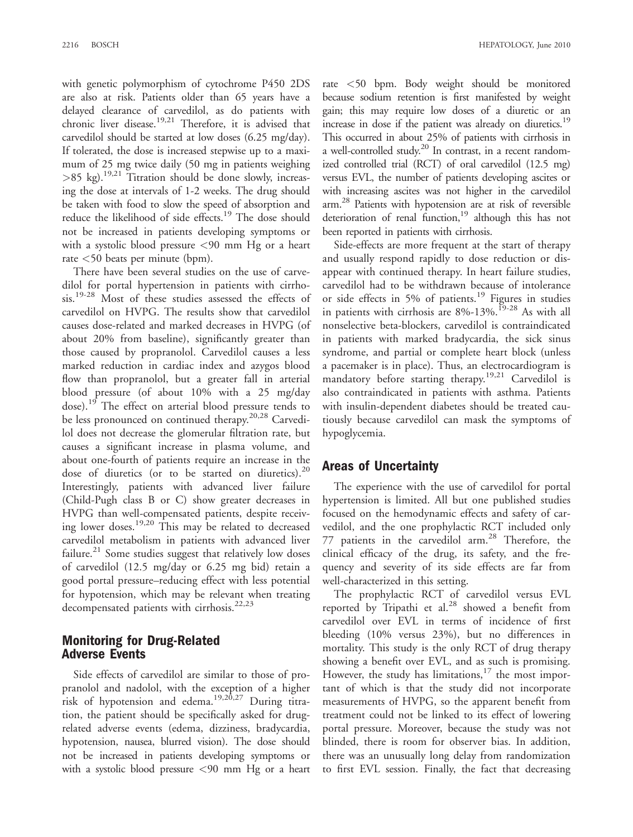with genetic polymorphism of cytochrome P450 2DS are also at risk. Patients older than 65 years have a delayed clearance of carvedilol, as do patients with chronic liver disease.<sup>19,21</sup> Therefore, it is advised that carvedilol should be started at low doses (6.25 mg/day). If tolerated, the dose is increased stepwise up to a maximum of 25 mg twice daily (50 mg in patients weighing  $>85$  kg).<sup>19,21</sup> Titration should be done slowly, increasing the dose at intervals of 1-2 weeks. The drug should be taken with food to slow the speed of absorption and reduce the likelihood of side effects.<sup>19</sup> The dose should not be increased in patients developing symptoms or with a systolic blood pressure <90 mm Hg or a heart rate <50 beats per minute (bpm).

There have been several studies on the use of carvedilol for portal hypertension in patients with cirrhosis.19-28 Most of these studies assessed the effects of carvedilol on HVPG. The results show that carvedilol causes dose-related and marked decreases in HVPG (of about 20% from baseline), significantly greater than those caused by propranolol. Carvedilol causes a less marked reduction in cardiac index and azygos blood flow than propranolol, but a greater fall in arterial blood pressure (of about 10% with a 25 mg/day dose).<sup>19</sup> The effect on arterial blood pressure tends to be less pronounced on continued therapy.<sup>20,28</sup> Carvedilol does not decrease the glomerular filtration rate, but causes a significant increase in plasma volume, and about one-fourth of patients require an increase in the dose of diuretics (or to be started on diuretics).<sup>20</sup> Interestingly, patients with advanced liver failure (Child-Pugh class B or C) show greater decreases in HVPG than well-compensated patients, despite receiving lower doses.19,20 This may be related to decreased carvedilol metabolism in patients with advanced liver failure.<sup>21</sup> Some studies suggest that relatively low doses of carvedilol (12.5 mg/day or 6.25 mg bid) retain a good portal pressure–reducing effect with less potential for hypotension, which may be relevant when treating decompensated patients with cirrhosis.<sup>22,23</sup>

## Monitoring for Drug-Related Adverse Events

Side effects of carvedilol are similar to those of propranolol and nadolol, with the exception of a higher risk of hypotension and edema.<sup>19,20,27</sup> During titration, the patient should be specifically asked for drugrelated adverse events (edema, dizziness, bradycardia, hypotension, nausea, blurred vision). The dose should not be increased in patients developing symptoms or with a systolic blood pressure <90 mm Hg or a heart rate <50 bpm. Body weight should be monitored because sodium retention is first manifested by weight gain; this may require low doses of a diuretic or an increase in dose if the patient was already on diuretics.<sup>19</sup> This occurred in about 25% of patients with cirrhosis in a well-controlled study.<sup>20</sup> In contrast, in a recent randomized controlled trial (RCT) of oral carvedilol (12.5 mg) versus EVL, the number of patients developing ascites or with increasing ascites was not higher in the carvedilol arm. <sup>28</sup> Patients with hypotension are at risk of reversible deterioration of renal function,<sup>19</sup> although this has not been reported in patients with cirrhosis.

Side-effects are more frequent at the start of therapy and usually respond rapidly to dose reduction or disappear with continued therapy. In heart failure studies, carvedilol had to be withdrawn because of intolerance or side effects in 5% of patients.<sup>19</sup> Figures in studies in patients with cirrhosis are  $8\%$ -13%.<sup>19-28</sup> As with all nonselective beta-blockers, carvedilol is contraindicated in patients with marked bradycardia, the sick sinus syndrome, and partial or complete heart block (unless a pacemaker is in place). Thus, an electrocardiogram is mandatory before starting therapy.<sup>19,21</sup> Carvedilol is also contraindicated in patients with asthma. Patients with insulin-dependent diabetes should be treated cautiously because carvedilol can mask the symptoms of hypoglycemia.

# Areas of Uncertainty

The experience with the use of carvedilol for portal hypertension is limited. All but one published studies focused on the hemodynamic effects and safety of carvedilol, and the one prophylactic RCT included only 77 patients in the carvedilol arm.<sup>28</sup> Therefore, the clinical efficacy of the drug, its safety, and the frequency and severity of its side effects are far from well-characterized in this setting.

The prophylactic RCT of carvedilol versus EVL reported by Tripathi et al.<sup>28</sup> showed a benefit from carvedilol over EVL in terms of incidence of first bleeding (10% versus 23%), but no differences in mortality. This study is the only RCT of drug therapy showing a benefit over EVL, and as such is promising. However, the study has limitations, $17$  the most important of which is that the study did not incorporate measurements of HVPG, so the apparent benefit from treatment could not be linked to its effect of lowering portal pressure. Moreover, because the study was not blinded, there is room for observer bias. In addition, there was an unusually long delay from randomization to first EVL session. Finally, the fact that decreasing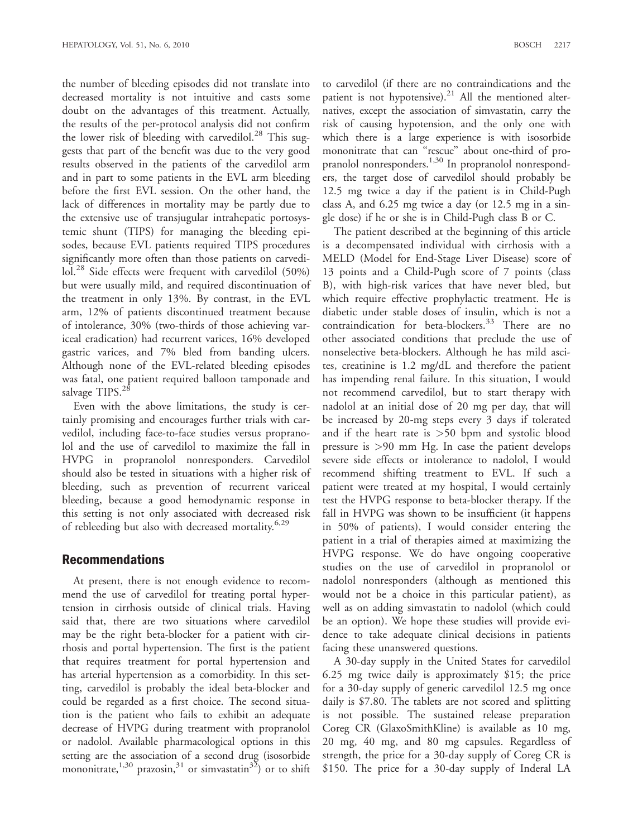the number of bleeding episodes did not translate into decreased mortality is not intuitive and casts some doubt on the advantages of this treatment. Actually, the results of the per-protocol analysis did not confirm the lower risk of bleeding with carvedilol.<sup>28</sup> This suggests that part of the benefit was due to the very good results observed in the patients of the carvedilol arm and in part to some patients in the EVL arm bleeding before the first EVL session. On the other hand, the lack of differences in mortality may be partly due to the extensive use of transjugular intrahepatic portosystemic shunt (TIPS) for managing the bleeding episodes, because EVL patients required TIPS procedures significantly more often than those patients on carvedilol.<sup>28</sup> Side effects were frequent with carvedilol (50%) but were usually mild, and required discontinuation of the treatment in only 13%. By contrast, in the EVL arm, 12% of patients discontinued treatment because of intolerance, 30% (two-thirds of those achieving variceal eradication) had recurrent varices, 16% developed gastric varices, and 7% bled from banding ulcers. Although none of the EVL-related bleeding episodes was fatal, one patient required balloon tamponade and salvage TIPS.<sup>28</sup>

Even with the above limitations, the study is certainly promising and encourages further trials with carvedilol, including face-to-face studies versus propranolol and the use of carvedilol to maximize the fall in HVPG in propranolol nonresponders. Carvedilol should also be tested in situations with a higher risk of bleeding, such as prevention of recurrent variceal bleeding, because a good hemodynamic response in this setting is not only associated with decreased risk of rebleeding but also with decreased mortality.<sup>6,29</sup>

#### Recommendations

At present, there is not enough evidence to recommend the use of carvedilol for treating portal hypertension in cirrhosis outside of clinical trials. Having said that, there are two situations where carvedilol may be the right beta-blocker for a patient with cirrhosis and portal hypertension. The first is the patient that requires treatment for portal hypertension and has arterial hypertension as a comorbidity. In this setting, carvedilol is probably the ideal beta-blocker and could be regarded as a first choice. The second situation is the patient who fails to exhibit an adequate decrease of HVPG during treatment with propranolol or nadolol. Available pharmacological options in this setting are the association of a second drug (isosorbide mononitrate,<sup>1,30</sup> prazosin,<sup>31</sup> or simvastatin<sup>32</sup>) or to shift

to carvedilol (if there are no contraindications and the patient is not hypotensive).<sup>21</sup> All the mentioned alternatives, except the association of simvastatin, carry the risk of causing hypotension, and the only one with which there is a large experience is with isosorbide mononitrate that can ''rescue'' about one-third of propranolol nonresponders.<sup>1,30</sup> In propranolol nonresponders, the target dose of carvedilol should probably be 12.5 mg twice a day if the patient is in Child-Pugh class A, and 6.25 mg twice a day (or 12.5 mg in a single dose) if he or she is in Child-Pugh class B or C.

The patient described at the beginning of this article is a decompensated individual with cirrhosis with a MELD (Model for End-Stage Liver Disease) score of 13 points and a Child-Pugh score of 7 points (class B), with high-risk varices that have never bled, but which require effective prophylactic treatment. He is diabetic under stable doses of insulin, which is not a contraindication for beta-blockers.<sup>33</sup> There are no other associated conditions that preclude the use of nonselective beta-blockers. Although he has mild ascites, creatinine is 1.2 mg/dL and therefore the patient has impending renal failure. In this situation, I would not recommend carvedilol, but to start therapy with nadolol at an initial dose of 20 mg per day, that will be increased by 20-mg steps every 3 days if tolerated and if the heart rate is  $>50$  bpm and systolic blood pressure is >90 mm Hg. In case the patient develops severe side effects or intolerance to nadolol, I would recommend shifting treatment to EVL. If such a patient were treated at my hospital, I would certainly test the HVPG response to beta-blocker therapy. If the fall in HVPG was shown to be insufficient (it happens in 50% of patients), I would consider entering the patient in a trial of therapies aimed at maximizing the HVPG response. We do have ongoing cooperative studies on the use of carvedilol in propranolol or nadolol nonresponders (although as mentioned this would not be a choice in this particular patient), as well as on adding simvastatin to nadolol (which could be an option). We hope these studies will provide evidence to take adequate clinical decisions in patients facing these unanswered questions.

A 30-day supply in the United States for carvedilol 6.25 mg twice daily is approximately \$15; the price for a 30-day supply of generic carvedilol 12.5 mg once daily is \$7.80. The tablets are not scored and splitting is not possible. The sustained release preparation Coreg CR (GlaxoSmithKline) is available as 10 mg, 20 mg, 40 mg, and 80 mg capsules. Regardless of strength, the price for a 30-day supply of Coreg CR is \$150. The price for a 30-day supply of Inderal LA